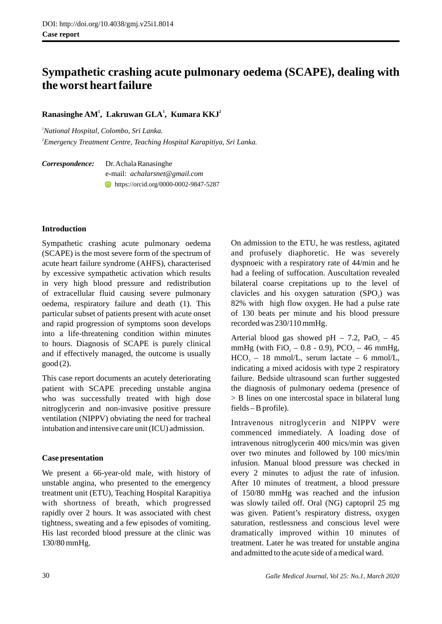# **Sympathetic crashing acute pulmonary oedema (SCAPE), dealing with the worst heart failure**

# **<sup>1</sup> <sup>1</sup> <sup>2</sup> Ranasinghe AM , Lakruwan GLA , Kumara KKJ**

*<sup>1</sup>National Hospital, Colombo, Sri Lanka. 2 Emergency Treatment Centre, Teaching Hospital Karapitiya, Sri Lanka.* 

*Correspondence:* Dr. Achala Ranasinghe e-mail: *achalarsnet@gmail.com* https://orcid.org/0000-0002-9847-5287

### **Introduction**

Sympathetic crashing acute pulmonary oedema (SCAPE) is the most severe form of the spectrum of acute heart failure syndrome (AHFS), characterised by excessive sympathetic activation which results in very high blood pressure and redistribution of extracellular fluid causing severe pulmonary oedema, respiratory failure and death (1). This particular subset of patients present with acute onset and rapid progression of symptoms soon develops into a life-threatening condition within minutes to hours. Diagnosis of SCAPE is purely clinical and if effectively managed, the outcome is usually good (2).

This case report documents an acutely deteriorating patient with SCAPE preceding unstable angina who was successfully treated with high dose nitroglycerin and non-invasive positive pressure ventilation (NIPPV) obviating the need for tracheal intubation and intensive care unit (ICU) admission.

# **Case presentation**

We present a 66-year-old male, with history of unstable angina, who presented to the emergency treatment unit (ETU), Teaching Hospital Karapitiya with shortness of breath, which progressed rapidly over 2 hours. It was associated with chest tightness, sweating and a few episodes of vomiting. His last recorded blood pressure at the clinic was 130/80 mmHg.

On admission to the ETU, he was restless, agitated and profusely diaphoretic. He was severely dyspnoeic with a respiratory rate of 44/min and he had a feeling of suffocation. Auscultation revealed bilateral coarse crepitations up to the level of clavicles and his oxygen saturation  $(SPO<sub>2</sub>)$  was 82% with high flow oxygen. He had a pulse rate of 130 beats per minute and his blood pressure recorded was 230/110 mmHg.

Arterial blood gas showed pH – 7.2, PaO, – 45 mmHg (with FiO<sub>2</sub> – 0.8 - 0.9), PCO<sub>2</sub> – 46 mmHg,  $HCO<sub>3</sub> - 18$  mmol/L, serum lactate – 6 mmol/L, indicating a mixed acidosis with type 2 respiratory failure. Bedside ultrasound scan further suggested the diagnosis of pulmonary oedema (presence of > B lines on one intercostal space in bilateral lung fields – B profile).

Intravenous nitroglycerin and NIPPV were commenced immediately. A loading dose of intravenous nitroglycerin 400 mics/min was given over two minutes and followed by 100 mics/min infusion. Manual blood pressure was checked in every 2 minutes to adjust the rate of infusion. After 10 minutes of treatment, a blood pressure of 150/80 mmHg was reached and the infusion was slowly tailed off. Oral (NG) captopril 25 mg was given. Patient's respiratory distress, oxygen saturation, restlessness and conscious level were dramatically improved within 10 minutes of treatment. Later he was treated for unstable angina and admitted to the acute side of a medical ward.